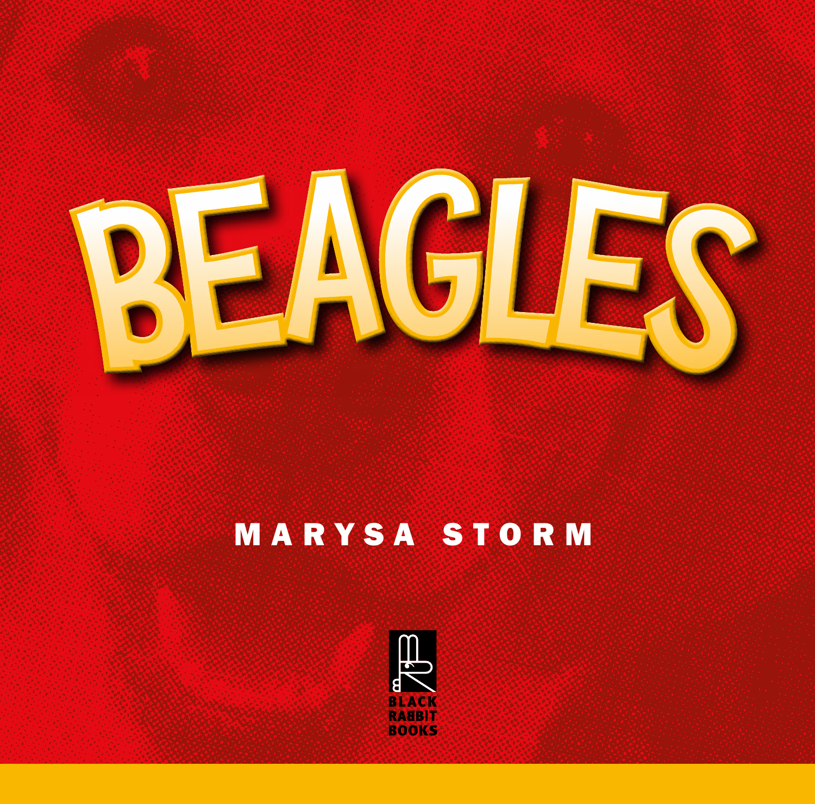

# MARYSA STORM

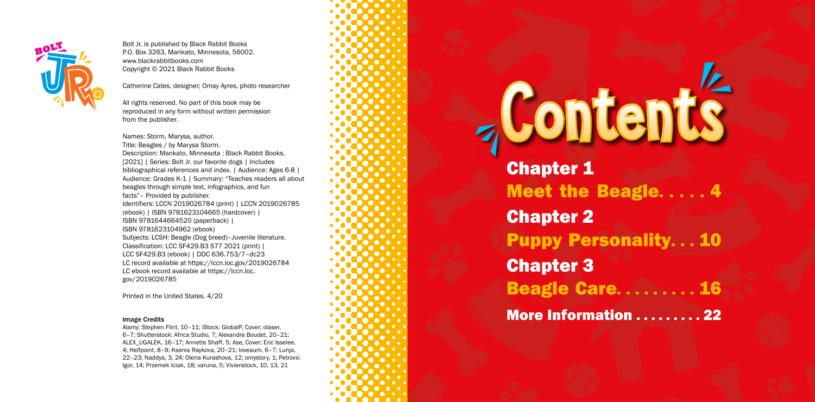Chapter 1 Chapter 2 Chapter 3

# **Jontents**

- Meet the Beagle..... 4 Puppy Personality. . . 10
- Beagle Care. . . . . . . .
- **More Information ......... 22**





Bolt Jr. is published by Black Rabbit Books P.O. Box 3263, Mankato, Minnesota, 56002. www.blackrabbitbooks.com Copyright © 2021 Black Rabbit Books

Catherine Cates, designer; Omay Ayres, photo researcher

All rights reserved. No part of this book may be reproduced in any form without written permission from the publisher.

Names: Storm, Marysa, author. Title: Beagles / by Marysa Storm. Description: Mankato, Minnesota : Black Rabbit Books, [2021] | Series: Bolt Jr. our favorite dogs | Includes bibliographical references and index. | Audience: Ages 6-8 | Audience: Grades K-1 | Summary: "Teaches readers all about beagles through simple text, infographics, and fun facts"– Provided by publisher. Identifiers: LCCN 2019026784 (print) | LCCN 2019026785 (ebook) | ISBN 9781623104665 (hardcover) | ISBN 9781644664520 (paperback) | ISBN 9781623104962 (ebook) Subjects: LCSH: Beagle (Dog breed)–Juvenile literature. Classification: LCC SF429.B3 S77 2021 (print) | LCC SF429.B3 (ebook) | DDC 636.753/7–dc23 LC record available at https://lccn.loc.gov/2019026784 LC ebook record available at https://lccn.loc. gov/2019026785

Printed in the United States. 4/20

## Image Credits

Alamy: Stephen Flint, 10–11; iStock: GlobalP, Cover; olaser, 6–7; Shutterstock: Africa Studio, 7; Alexandre Boudet, 20–21; ALEX\_UGALEK, 16–17; Annette Shaff, 5; Ase, Cover; Eric Isselee, 4; Halfpoint, 8–9; Ksenia Raykova, 20–21; loveaum, 6–7; Lunja, 22–23; Naddya, 3, 24; Olena Kurashova, 12; omystory, 1; Petrovic Igor, 14; Przemek Iciak, 18; varuna, 5; Vivienstock, 10, 13, 21

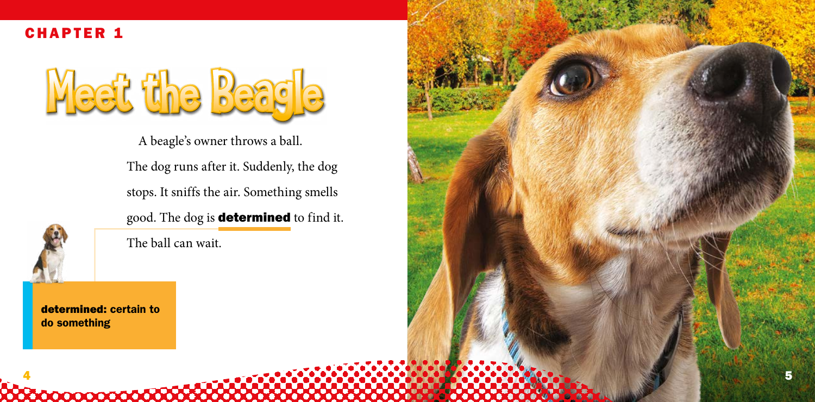determined: certain to do something

0000000000000000

A beagle's owner throws a ball.

The dog runs after it. Suddenly, the dog

stops. It sniffs the air. Something smells

good. The dog is **determined** to find it.



The ball can wait.

Meet the Beagle



CHAPTER 1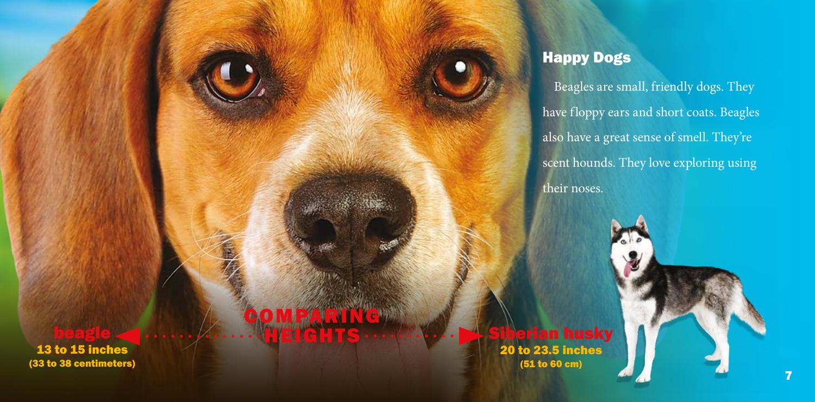beagle <u>(www.community.community.community.community.community.community.community.community.community.community.</u>

COMPARING

13 to 15 inches (33 to 38 centimeters)

**erian husky** 20 to 23.5 inches (51 to 60 cm)

# Happy Dogs

Beagles are small, friendly dogs. They have floppy ears and short coats. Beagles also have a great sense of smell. They're scent hounds. They love exploring using their noses.